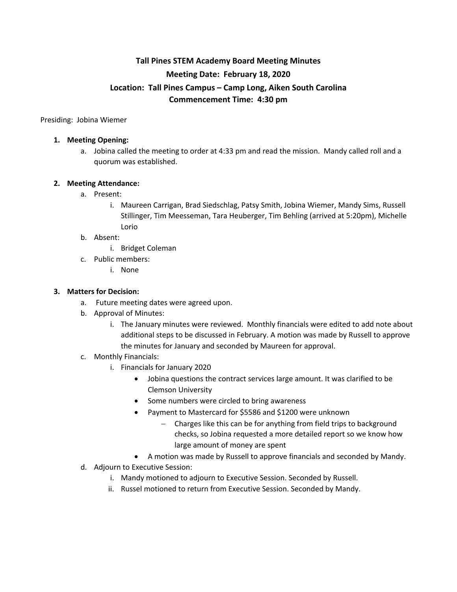# **Tall Pines STEM Academy Board Meeting Minutes Meeting Date: February 18, 2020 Location: Tall Pines Campus – Camp Long, Aiken South Carolina Commencement Time: 4:30 pm**

Presiding: Jobina Wiemer

#### **1. Meeting Opening:**

a. Jobina called the meeting to order at 4:33 pm and read the mission. Mandy called roll and a quorum was established.

### **2. Meeting Attendance:**

- a. Present:
	- i. Maureen Carrigan, Brad Siedschlag, Patsy Smith, Jobina Wiemer, Mandy Sims, Russell Stillinger, Tim Meesseman, Tara Heuberger, Tim Behling (arrived at 5:20pm), Michelle Lorio

#### b. Absent:

- i. Bridget Coleman
- c. Public members:
	- i. None

#### **3. Matters for Decision:**

- a. Future meeting dates were agreed upon.
- b. Approval of Minutes:
	- i. The January minutes were reviewed. Monthly financials were edited to add note about additional steps to be discussed in February. A motion was made by Russell to approve the minutes for January and seconded by Maureen for approval.
- c. Monthly Financials:
	- i. Financials for January 2020
		- Jobina questions the contract services large amount. It was clarified to be Clemson University
		- Some numbers were circled to bring awareness
		- Payment to Mastercard for \$5586 and \$1200 were unknown
			- Charges like this can be for anything from field trips to background checks, so Jobina requested a more detailed report so we know how large amount of money are spent
		- A motion was made by Russell to approve financials and seconded by Mandy.
- d. Adjourn to Executive Session:
	- i. Mandy motioned to adjourn to Executive Session. Seconded by Russell.
	- ii. Russel motioned to return from Executive Session. Seconded by Mandy.